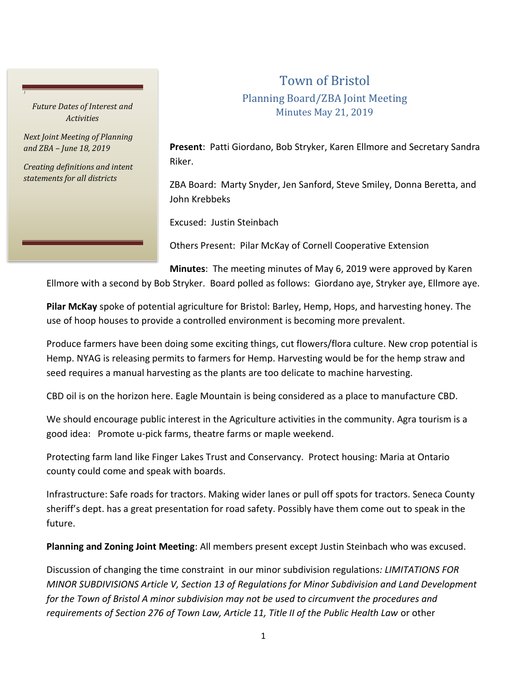*Future Dates of Interest and Activities*

*J*

*Next Joint Meeting of Planning and ZBA – June 18, 2019*

*Creating definitions and intent statements for all districts*

## Town of Bristol Planning Board/ZBA Joint Meeting Minutes May 21, 2019

**Present**: Patti Giordano, Bob Stryker, Karen Ellmore and Secretary Sandra Riker.

ZBA Board: Marty Snyder, Jen Sanford, Steve Smiley, Donna Beretta, and John Krebbeks

Excused: Justin Steinbach

Others Present: Pilar McKay of Cornell Cooperative Extension

**Minutes**: The meeting minutes of May 6, 2019 were approved by Karen

Ellmore with a second by Bob Stryker. Board polled as follows: Giordano aye, Stryker aye, Ellmore aye.

**Pilar McKay** spoke of potential agriculture for Bristol: Barley, Hemp, Hops, and harvesting honey. The use of hoop houses to provide a controlled environment is becoming more prevalent.

Produce farmers have been doing some exciting things, cut flowers/flora culture. New crop potential is Hemp. NYAG is releasing permits to farmers for Hemp. Harvesting would be for the hemp straw and seed requires a manual harvesting as the plants are too delicate to machine harvesting.

CBD oil is on the horizon here. Eagle Mountain is being considered as a place to manufacture CBD.

We should encourage public interest in the Agriculture activities in the community. Agra tourism is a good idea: Promote u-pick farms, theatre farms or maple weekend.

Protecting farm land like Finger Lakes Trust and Conservancy. Protect housing: Maria at Ontario county could come and speak with boards.

Infrastructure: Safe roads for tractors. Making wider lanes or pull off spots for tractors. Seneca County sheriff's dept. has a great presentation for road safety. Possibly have them come out to speak in the future.

**Planning and Zoning Joint Meeting**: All members present except Justin Steinbach who was excused.

Discussion of changing the time constraint in our minor subdivision regulations*: LIMITATIONS FOR MINOR SUBDIVISIONS Article V, Section 13 of Regulations for Minor Subdivision and Land Development for the Town of Bristol A minor subdivision may not be used to circumvent the procedures and requirements of Section 276 of Town Law, Article 11, Title II of the Public Health Law* or other